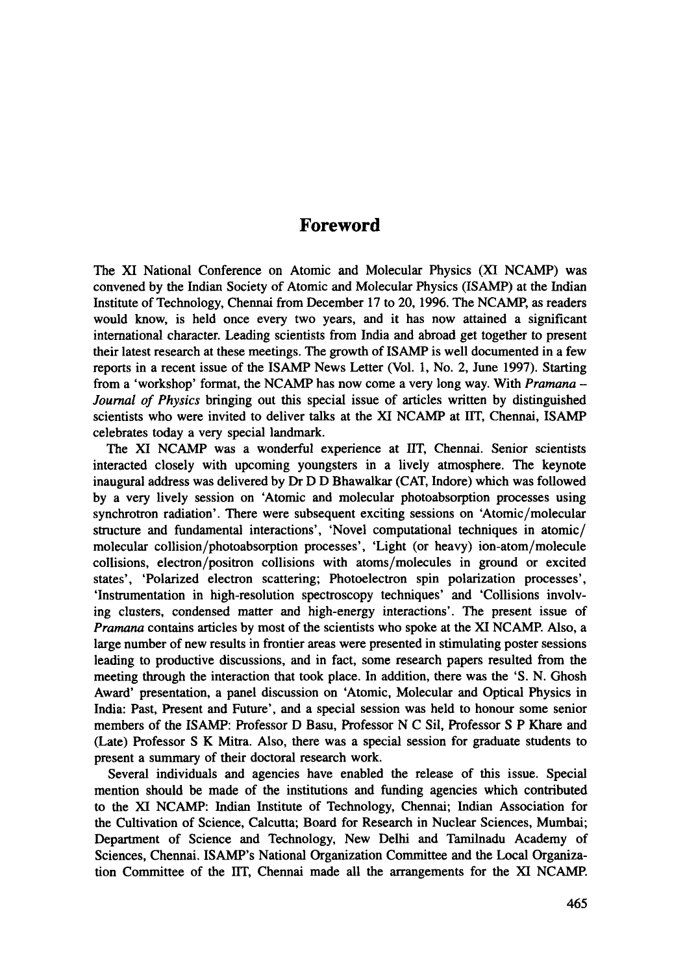## **Foreword**

The XI National Conference on Atomic and Molecular Physics (XI NCAMP) was convened by the Indian Society of Atomic and Molecular Physics (ISAMP) at the Indian Institute of Technology, Chennai from December 17 to 20, 1996. The NCAMP, as readers would know, is held once every two years, and it has now attained a significant international character. Leading scientists from India and abroad get together to present their latest research at these meetings. The growth of ISAMP is well documented in a few reports in a recent issue of the ISAMP News Letter (Vol. 1, No. 2, June 1997). Starting from a 'workshop' format, the NCAMP has now come a very long way. With *Pramana - Journal of Physics* bringing out this special issue of articles written by distinguished scientists who were invited to deliver talks at the XI NCAMP at IIT, Chennai, ISAMP celebrates today a very special landmark.

The XI NCAMP was a wonderful experience at IIT, Chennai. Senior scientists interacted closely with upcoming youngsters in a lively atmosphere. The keynote inaugural address was delivered by Dr D D Bhawalkar (CAT, Indore) which was followed by a very lively session on 'Atomic and molecular photoabsorption processes using synchrotron radiation'. There were subsequent exciting sessions on 'Atomic/molecular structure and fundamental interactions', 'Novel computational techniques in atomic/ molecular collision/photoabsorption processes', 'Light (or heavy) ion-atom/molecule collisions, electron/positron collisions with atoms/molecules in ground or excited states', 'Polarized electron scattering; Photoelectron spin polarization processes', 'Instrumentation in high-resolution spectroscopy techniques' and 'Collisions involving clusters, condensed matter and high-energy interactions'. The present issue of *Pramana* contains articles by most of the scientists who spoke at the XI NCAMP. Also, a large number of new results in frontier areas were presented in stimulating poster sessions leading to productive discussions, and in fact, some research papers resulted from the meeting through the interaction that took place. In addition, there was the 'S. N. Ghosh Award' presentation, a panel discussion on 'Atomic, Molecular and Optical Physics in India: Past, Present and Future', and a special session was held to honour some senior members of the ISAMP: Professor D Basu, Professor N C Sil, Professor S P Khare and (Late) Professor S K Mitra. Also, there was a special session for graduate students to present a summary of their doctoral research work.

Several individuals and agencies have enabled the release of this issue. Special mention should be made of the institutions and funding agencies which contributed to the XI NCAMP: Indian Institute of Technology, Chennai; Indian Association for the Cultivation of Science, Calcutta; Board for Research in Nuclear Sciences, Mumbai; Department of Science and Technology, New Delhi and Tamilnadu Academy of Sciences, Chennai. ISAMP's National Organization Committee and the Local Organization Committee of the IIT, Chennai made all the arrangements for the XI NCAMP.